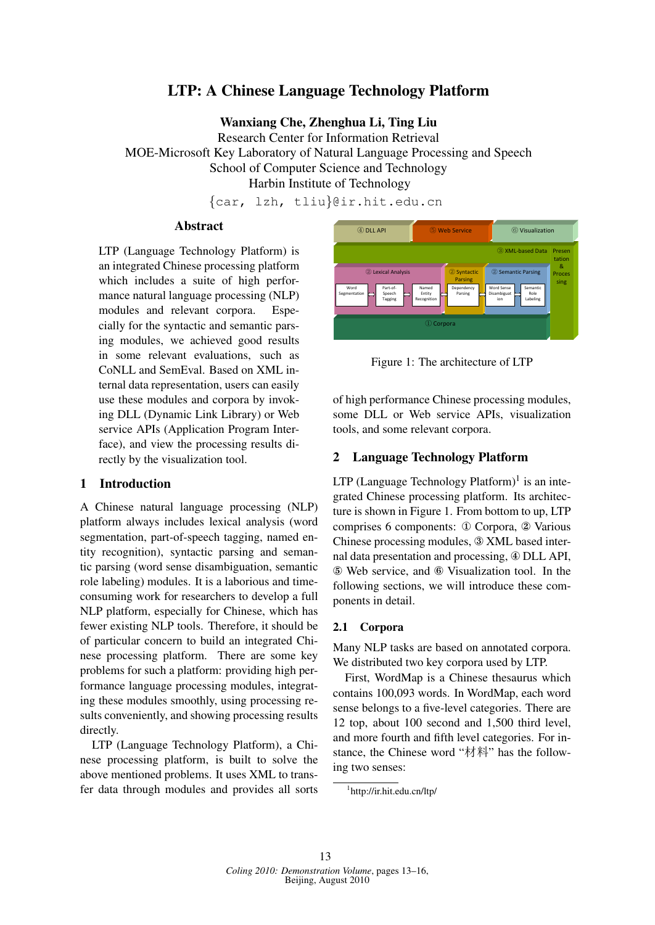# **LTP: A Chinese Language Technology Platform**

Wanxiang Che, Zhenghua Li, Ting Liu

**Research Center for Information Retrieval** MOE-Microsoft Key Laboratory of Natural Language Processing and Speech School of Computer Science and Technology Harbin Institute of Technology

{car, 1zh, tliu}@ir.hit.edu.cn

# **Abstract**

LTP (Language Technology Platform) is an integrated Chinese processing platform which includes a suite of high performance natural language processing (NLP) modules and relevant corpora. Especially for the syntactic and semantic parsing modules, we achieved good results in some relevant evaluations, such as CoNLL and SemEval. Based on XML internal data representation, users can easily use these modules and corpora by invoking DLL (Dynamic Link Library) or Web service APIs (Application Program Interface), and view the processing results directly by the visualization tool.

#### $\mathbf{1}$ **Introduction**

A Chinese natural language processing (NLP) platform always includes lexical analysis (word segmentation, part-of-speech tagging, named entity recognition), syntactic parsing and semantic parsing (word sense disambiguation, semantic role labeling) modules. It is a laborious and timeconsuming work for researchers to develop a full NLP platform, especially for Chinese, which has fewer existing NLP tools. Therefore, it should be of particular concern to build an integrated Chinese processing platform. There are some key problems for such a platform: providing high performance language processing modules, integrating these modules smoothly, using processing results conveniently, and showing processing results directly.

LTP (Language Technology Platform), a Chinese processing platform, is built to solve the above mentioned problems. It uses XML to transfer data through modules and provides all sorts



Figure 1: The architecture of LTP

of high performance Chinese processing modules, some DLL or Web service APIs, visualization tools, and some relevant corpora.

#### $2^{\circ}$ **Language Technology Platform**

LTP (Language Technology Platform)<sup>1</sup> is an integrated Chinese processing platform. Its architecture is shown in Figure 1. From bottom to up, LTP comprises 6 components: ① Corpora, ② Various Chinese processing modules, 3 XML based internal data presentation and processing, 4 DLL API, 5 Web service, and 6 Visualization tool. In the following sections, we will introduce these components in detail.

## 2.1 Corpora

Many NLP tasks are based on annotated corpora. We distributed two key corpora used by LTP.

First, WordMap is a Chinese thesaurus which contains 100,093 words. In WordMap, each word sense belongs to a five-level categories. There are 12 top, about 100 second and 1,500 third level, and more fourth and fifth level categories. For instance, the Chinese word "材料" has the following two senses:

<sup>&</sup>lt;sup>1</sup>http://ir.hit.edu.cn/ltp/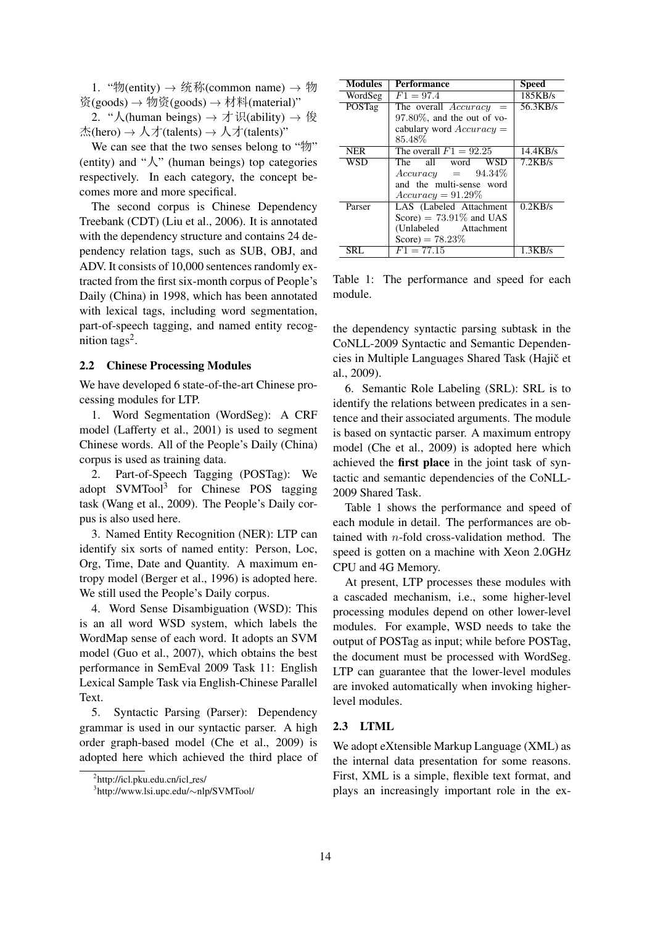1. "物(entity) → 统称(common name) → 物 资(goods) → 物资(goods) → 材料(material)"

2. "人(human beings) → 才识(ability) → 俊 杰(hero) → 人才(talents) → 人才(talents)"

We can see that the two senses belong to "物" (entity) and " $\lambda$ " (human beings) top categories respectively. In each category, the concept becomes more and more specifical.

The second corpus is Chinese Dependency Treebank (CDT) (Liu et al., 2006). It is annotated with the dependency structure and contains 24 dependency relation tags, such as SUB, OBJ, and ADV. It consists of 10,000 sentences randomly extracted from the first six-month corpus of People's Daily (China) in 1998, which has been annotated with lexical tags, including word segmentation, part-of-speech tagging, and named entity recognition tags<sup>2</sup>.

### 2.2 Chinese Processing Modules

We have developed 6 state-of-the-art Chinese processing modules for LTP.

1. Word Segmentation (WordSeg): A CRF model (Lafferty et al., 2001) is used to segment Chinese words. All of the People's Daily (China) corpus is used as training data.

2. Part-of-Speech Tagging (POSTag): We adopt SVMTool3 for Chinese POS tagging task (Wang et al., 2009). The People's Daily corpus is also used here.

3. Named Entity Recognition (NER): LTP can identify six sorts of named entity: Person, Loc, Org, Time, Date and Quantity. A maximum entropy model (Berger et al., 1996) is adopted here. We still used the People's Daily corpus.

4. Word Sense Disambiguation (WSD): This is an all word WSD system, which labels the WordMap sense of each word. It adopts an SVM model (Guo et al., 2007), which obtains the best performance in SemEval 2009 Task 11: English Lexical Sample Task via English-Chinese Parallel Text.

5. Syntactic Parsing (Parser): Dependency grammar is used in our syntactic parser. A high order graph-based model (Che et al., 2009) is adopted here which achieved the third place of

| <b>Modules</b> | <b>Performance</b>             | <b>Speed</b> |
|----------------|--------------------------------|--------------|
| WordSeg        | $F1 = 97.4$                    | 185KB/s      |
| POSTag         | The overall Accuracy<br>$=$    | 56.3KB/s     |
|                | $97.80\%$ , and the out of vo- |              |
|                | cabulary word $Accuracy =$     |              |
|                | 85.48%                         |              |
| <b>NER</b>     | The overall $F1 = 92.25$       | 14.4KB/s     |
| WSD            | <b>WSD</b><br>The all word     | 7.2KB/s      |
|                | $Accuracy = 94.34\%$           |              |
|                | and the multi-sense word       |              |
|                | $Accuracy = 91.29\%$           |              |
| Parser         | LAS (Labeled Attachment        | 0.2KB/s      |
|                | Score) = $73.91\%$ and UAS     |              |
|                | (Unlabeled Attachment)         |              |
|                | Score) = $78.23\%$             |              |
| SRI.           | $F1 = 77.15$                   | 1.3KB/s      |

Table 1: The performance and speed for each module.

the dependency syntactic parsing subtask in the CoNLL-2009 Syntactic and Semantic Dependencies in Multiple Languages Shared Task (Hajič et al., 2009).

6. Semantic Role Labeling (SRL): SRL is to identify the relations between predicates in a sentence and their associated arguments. The module is based on syntactic parser. A maximum entropy model (Che et al., 2009) is adopted here which achieved the first place in the joint task of syntactic and semantic dependencies of the CoNLL-2009 Shared Task.

Table 1 shows the performance and speed of each module in detail. The performances are obtained with n-fold cross-validation method. The speed is gotten on a machine with Xeon 2.0GHz CPU and 4G Memory.

At present, LTP processes these modules with a cascaded mechanism, i.e., some higher-level processing modules depend on other lower-level modules. For example, WSD needs to take the output of POSTag as input; while before POSTag, the document must be processed with WordSeg. LTP can guarantee that the lower-level modules are invoked automatically when invoking higherlevel modules.

### 2.3 LTML

We adopt eXtensible Markup Language (XML) as the internal data presentation for some reasons. First, XML is a simple, flexible text format, and plays an increasingly important role in the ex-

<sup>&</sup>lt;sup>2</sup>http://icl.pku.edu.cn/icl\_res/

<sup>3</sup> http://www.lsi.upc.edu/∼nlp/SVMTool/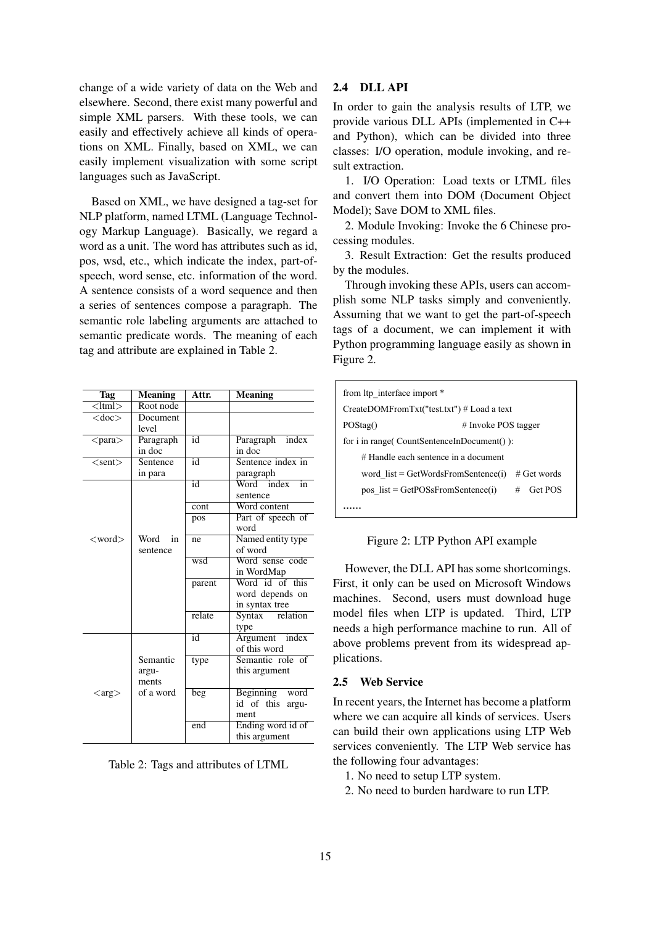change of a wide variety of data on the Web and elsewhere. Second, there exist many powerful and simple XML parsers. With these tools, we can easily and effectively achieve all kinds of operations on XML. Finally, based on XML, we can easily implement visualization with some script languages such as JavaScript.

Based on XML, we have designed a tag-set for NLP platform, named LTML (Language Technology Markup Language). Basically, we regard a word as a unit. The word has attributes such as id, pos, wsd, etc., which indicate the index, part-ofspeech, word sense, etc. information of the word. A sentence consists of a word sequence and then a series of sentences compose a paragraph. The semantic role labeling arguments are attached to semantic predicate words. The meaning of each tag and attribute are explained in Table 2.

| Tag                         | <b>Meaning</b> | Attr.           | <b>Meaning</b>                         |
|-----------------------------|----------------|-----------------|----------------------------------------|
| $\leq$ ltml $>$             | Root node      |                 |                                        |
| $<$ doc $>$                 | Document       |                 |                                        |
|                             | level          |                 |                                        |
| $<$ para $>$                | Paragraph      | $\overline{id}$ | Paragraph<br>index                     |
|                             | in doc         |                 | in doc                                 |
| $<$ sent $>$                | Sentence       | id              | Sentence index in                      |
|                             | in para        |                 | paragraph                              |
|                             |                | id              | Word index in                          |
|                             |                |                 | sentence                               |
|                             |                | cont            | Word content                           |
|                             |                | pos             | Part of speech of                      |
|                             |                |                 | word                                   |
| $<$ word $>$                | Word<br>in     | ne              | Named entity type                      |
|                             | sentence       |                 | of word                                |
|                             |                | wsd             | Word sense code                        |
|                             |                |                 | in WordMap                             |
|                             |                | parent          | Word id of this                        |
|                             |                |                 | word depends on                        |
|                             |                |                 | in syntax tree                         |
|                             |                | relate          | $\overline{\text{Syntax}}$<br>relation |
|                             |                |                 | type                                   |
|                             |                | id              | Argument index                         |
|                             |                |                 | of this word                           |
|                             | Semantic       | type            | Semantic role of                       |
|                             | argu-          |                 | this argument                          |
|                             | ments          |                 |                                        |
| $\langle \text{arg}\rangle$ | of a word      | beg             | Beginning word                         |
|                             |                |                 | id of this argu-                       |
|                             |                |                 | ment                                   |
|                             |                | end             | Ending word id of                      |
|                             |                |                 | this argument                          |

Table 2: Tags and attributes of LTML

# 2.4 DLL API

In order to gain the analysis results of LTP, we provide various DLL APIs (implemented in C++ and Python), which can be divided into three classes: I/O operation, module invoking, and result extraction.

1. I/O Operation: Load texts or LTML files and convert them into DOM (Document Object Model); Save DOM to XML files.

2. Module Invoking: Invoke the 6 Chinese processing modules.

3. Result Extraction: Get the results produced by the modules.

Through invoking these APIs, users can accomplish some NLP tasks simply and conveniently. Assuming that we want to get the part-of-speech tags of a document, we can implement it with Python programming language easily as shown in Figure 2.

| from Itp interface import *                |                       |  |  |  |
|--------------------------------------------|-----------------------|--|--|--|
| CreateDOMFromTxt("test.txt") # Load a text |                       |  |  |  |
| POStag()                                   | $#$ Invoke POS tagger |  |  |  |
| for i in range (CountSentenceInDocument ): |                       |  |  |  |
| $#$ Handle each sentence in a document     |                       |  |  |  |
| word $list = GetWordsFromSentence(i)$      | $#$ Get words         |  |  |  |
| pos $list = GetPOSsFromSentence(i)$        | $\#$ Get POS          |  |  |  |
|                                            |                       |  |  |  |

Figure 2: LTP Python API example

However, the DLL API has some shortcomings. First, it only can be used on Microsoft Windows machines. Second, users must download huge model files when LTP is updated. Third, LTP needs a high performance machine to run. All of above problems prevent from its widespread applications.

# 2.5 Web Service

In recent years, the Internet has become a platform where we can acquire all kinds of services. Users can build their own applications using LTP Web services conveniently. The LTP Web service has the following four advantages:

- 1. No need to setup LTP system.
- 2. No need to burden hardware to run LTP.